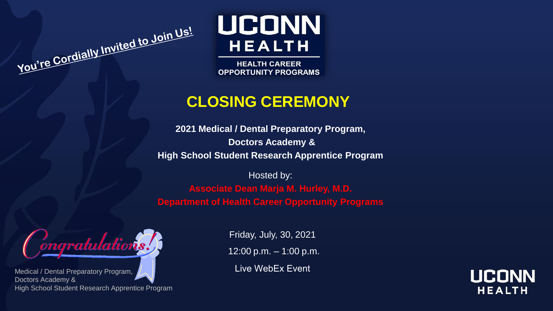**UCONN HEALTH** 

**HEALTH CAREER OPPORTUNITY PROGRAMS** 

## **CLOSING CEREMONY**

**2021 Medical / Dental Preparatory Program, Doctors Academy & High School Student Research Apprentice Program**

Hosted by:

**Associate Dean Marja M. Hurley, M.D. Department of Health Career Opportunity Programs**



You're Cordially Invited to Join Us!

Medical / Dental Preparatory Program, Doctors Academy & High School Student Research Apprentice Program

Friday, July, 30, 2021 12:00 p.m. – 1:00 p.m.

Live WebEx Event